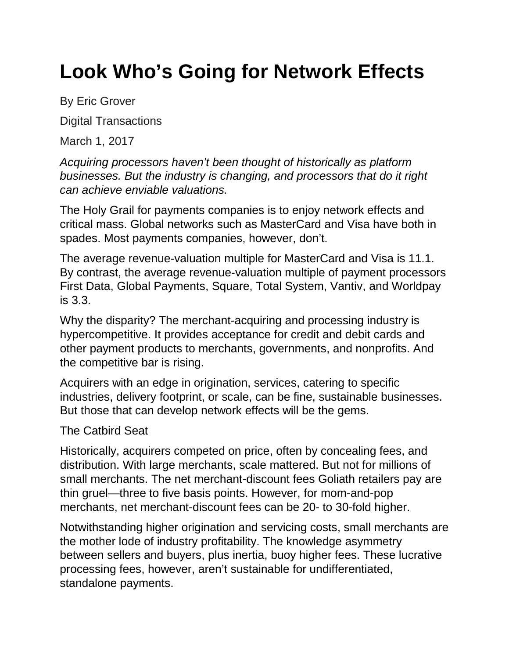## **Look Who's Going for Network Effects**

By Eric Grover

Digital Transactions

March 1, 2017

*Acquiring processors haven't been thought of historically as platform businesses. But the industry is changing, and processors that do it right can achieve enviable valuations.*

The Holy Grail for payments companies is to enjoy network effects and critical mass. Global networks such as MasterCard and Visa have both in spades. Most payments companies, however, don't.

The average revenue-valuation multiple for MasterCard and Visa is 11.1. By contrast, the average revenue-valuation multiple of payment processors First Data, Global Payments, Square, Total System, Vantiv, and Worldpay is 3.3.

Why the disparity? The merchant-acquiring and processing industry is hypercompetitive. It provides acceptance for credit and debit cards and other payment products to merchants, governments, and nonprofits. And the competitive bar is rising.

Acquirers with an edge in origination, services, catering to specific industries, delivery footprint, or scale, can be fine, sustainable businesses. But those that can develop network effects will be the gems.

## The Catbird Seat

Historically, acquirers competed on price, often by concealing fees, and distribution. With large merchants, scale mattered. But not for millions of small merchants. The net merchant-discount fees Goliath retailers pay are thin gruel—three to five basis points. However, for mom-and-pop merchants, net merchant-discount fees can be 20- to 30-fold higher.

Notwithstanding higher origination and servicing costs, small merchants are the mother lode of industry profitability. The knowledge asymmetry between sellers and buyers, plus inertia, buoy higher fees. These lucrative processing fees, however, aren't sustainable for undifferentiated, standalone payments.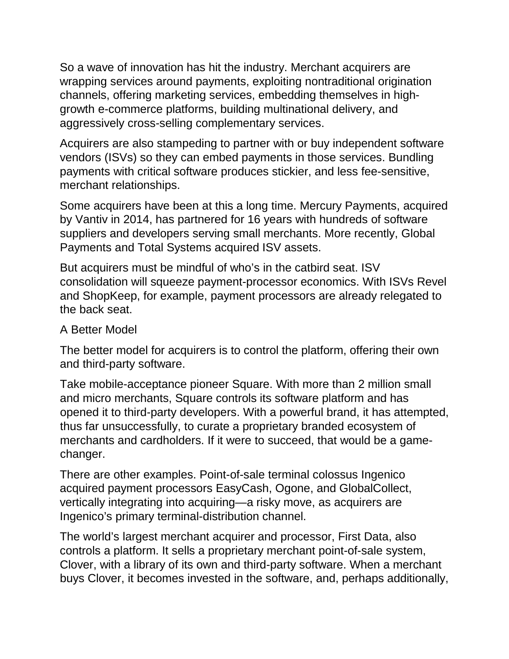So a wave of innovation has hit the industry. Merchant acquirers are wrapping services around payments, exploiting nontraditional origination channels, offering marketing services, embedding themselves in highgrowth e-commerce platforms, building multinational delivery, and aggressively cross-selling complementary services.

Acquirers are also stampeding to partner with or buy independent software vendors (ISVs) so they can embed payments in those services. Bundling payments with critical software produces stickier, and less fee-sensitive, merchant relationships.

Some acquirers have been at this a long time. Mercury Payments, acquired by Vantiv in 2014, has partnered for 16 years with hundreds of software suppliers and developers serving small merchants. More recently, Global Payments and Total Systems acquired ISV assets.

But acquirers must be mindful of who's in the catbird seat. ISV consolidation will squeeze payment-processor economics. With ISVs Revel and ShopKeep, for example, payment processors are already relegated to the back seat.

## A Better Model

The better model for acquirers is to control the platform, offering their own and third-party software.

Take mobile-acceptance pioneer Square. With more than 2 million small and micro merchants, Square controls its software platform and has opened it to third-party developers. With a powerful brand, it has attempted, thus far unsuccessfully, to curate a proprietary branded ecosystem of merchants and cardholders. If it were to succeed, that would be a gamechanger.

There are other examples. Point-of-sale terminal colossus Ingenico acquired payment processors EasyCash, Ogone, and GlobalCollect, vertically integrating into acquiring—a risky move, as acquirers are Ingenico's primary terminal-distribution channel.

The world's largest merchant acquirer and processor, First Data, also controls a platform. It sells a proprietary merchant point-of-sale system, Clover, with a library of its own and third-party software. When a merchant buys Clover, it becomes invested in the software, and, perhaps additionally,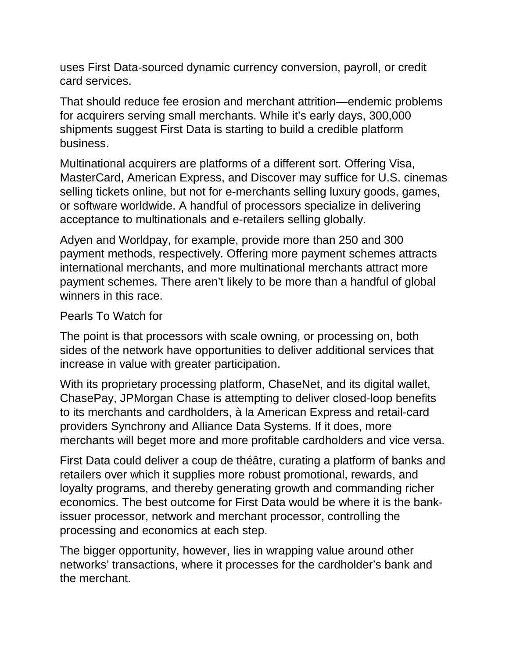uses First Data-sourced dynamic currency conversion, payroll, or credit card services.

That should reduce fee erosion and merchant attrition—endemic problems for acquirers serving small merchants. While it's early days, 300,000 shipments suggest First Data is starting to build a credible platform business.

Multinational acquirers are platforms of a different sort. Offering Visa, MasterCard, American Express, and Discover may suffice for U.S. cinemas selling tickets online, but not for e-merchants selling luxury goods, games, or software worldwide. A handful of processors specialize in delivering acceptance to multinationals and e-retailers selling globally.

Adyen and Worldpay, for example, provide more than 250 and 300 payment methods, respectively. Offering more payment schemes attracts international merchants, and more multinational merchants attract more payment schemes. There aren't likely to be more than a handful of global winners in this race.

## Pearls To Watch for

The point is that processors with scale owning, or processing on, both sides of the network have opportunities to deliver additional services that increase in value with greater participation.

With its proprietary processing platform, ChaseNet, and its digital wallet, ChasePay, JPMorgan Chase is attempting to deliver closed-loop benefits to its merchants and cardholders, à la American Express and retail-card providers Synchrony and Alliance Data Systems. If it does, more merchants will beget more and more profitable cardholders and vice versa.

First Data could deliver a coup de théâtre, curating a platform of banks and retailers over which it supplies more robust promotional, rewards, and loyalty programs, and thereby generating growth and commanding richer economics. The best outcome for First Data would be where it is the bankissuer processor, network and merchant processor, controlling the processing and economics at each step.

The bigger opportunity, however, lies in wrapping value around other networks' transactions, where it processes for the cardholder's bank and the merchant.